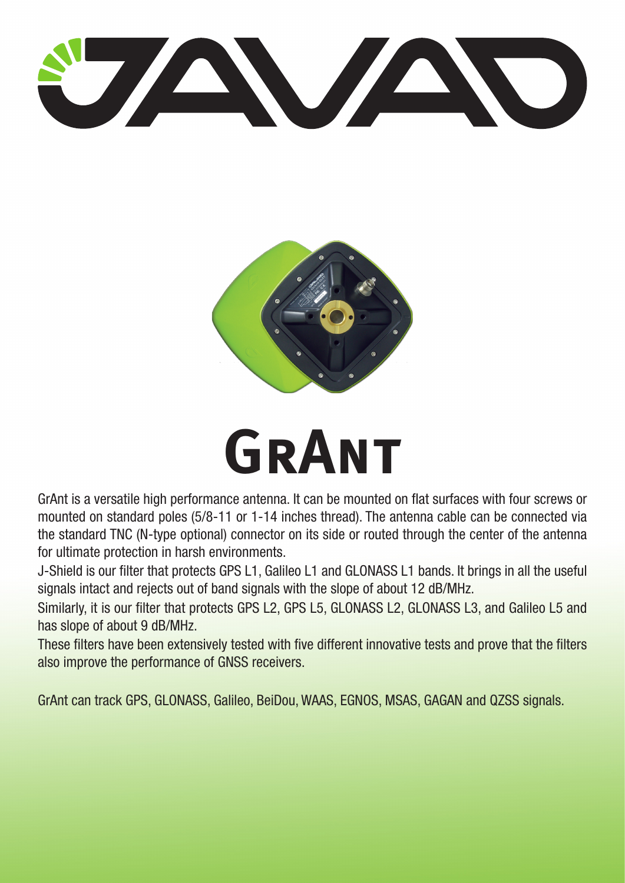



## **GRANT**

GrAnt is a versatile high performance antenna. It can be mounted on flat surfaces with four screws or mounted on standard poles (5/8-11 or 1-14 inches thread). The antenna cable can be connected via the standard TNC (N-type optional) connector on its side or routed through the center of the antenna for ultimate protection in harsh environments.

J-Shield is our filter that protects GPS L1, Galileo L1 and GLONASS L1 bands. It brings in all the useful signals intact and rejects out of band signals with the slope of about 12 dB/MHz.

Similarly, it is our filter that protects GPS L2, GPS L5, GLONASS L2, GLONASS L3, and Galileo L5 and has slope of about 9 dB/MHz.

These filters have been extensively tested with five different innovative tests and prove that the filters also improve the performance of GNSS receivers.

GrAnt can track GPS, GLONASS, Galileo, BeiDou, WAAS, EGNOS, MSAS, GAGAN and QZSS signals.